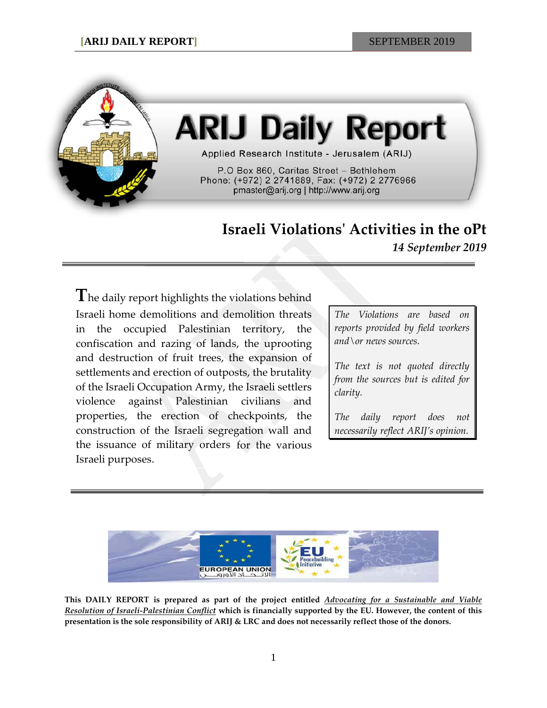

# **ARIJ Daily Report**

Applied Research Institute - Jerusalem (ARIJ)

P.O Box 860, Caritas Street - Bethlehem Phone: (+972) 2 2741889, Fax: (+972) 2 2776966 pmaster@arij.org | http://www.arij.org

# **Israeli Violations' Activities in the oPt**

*14 September 2019*

**T**he daily report highlights the violations behind Israeli home demolitions and demolition threats in the occupied Palestinian territory, the confiscation and razing of lands, the uprooting and destruction of fruit trees, the expansion of settlements and erection of outposts, the brutality of the Israeli Occupation Army, the Israeli settlers violence against Palestinian civilians and properties, the erection of checkpoints, the construction of the Israeli segregation wall and the issuance of military orders for the various Israeli purposes.

*The Violations are based on reports provided by field workers and\or news sources.*

*The text is not quoted directly from the sources but is edited for clarity.*

*The daily report does not necessarily reflect ARIJ's opinion.*



**This DAILY REPORT is prepared as part of the project entitled** *Advocating for a Sustainable and Viable Resolution of Israeli-Palestinian Conflict* **which is financially supported by the EU. However, the content of this presentation is the sole responsibility of ARIJ & LRC and does not necessarily reflect those of the donors.**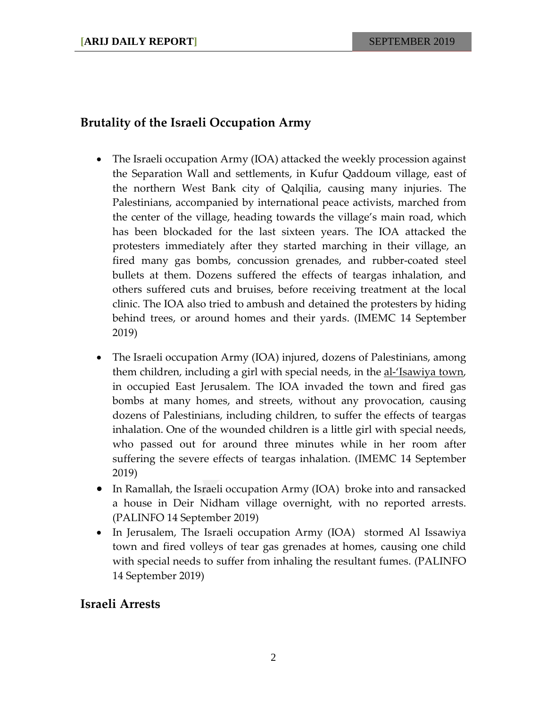## **Brutality of the Israeli Occupation Army**

- The Israeli occupation Army (IOA) attacked the weekly procession against the Separation Wall and settlements, in Kufur Qaddoum village, east of the northern West Bank city of Qalqilia, causing many injuries. The Palestinians, accompanied by international peace activists, marched from the center of the village, heading towards the village's main road, which has been blockaded for the last sixteen years. The IOA attacked the protesters immediately after they started marching in their village, an fired many gas bombs, concussion grenades, and rubber-coated steel bullets at them. Dozens suffered the effects of teargas inhalation, and others suffered cuts and bruises, before receiving treatment at the local clinic. The IOA also tried to ambush and detained the protesters by hiding behind trees, or around homes and their yards. (IMEMC 14 September 2019)
- The Israeli occupation Army (IOA) injured, dozens of Palestinians, among them children, including a girl with special needs, in the <u>al-'Isawiya town</u>, in occupied East Jerusalem. The IOA invaded the town and fired gas bombs at many homes, and streets, without any provocation, causing dozens of Palestinians, including children, to suffer the effects of teargas inhalation. One of the wounded children is a little girl with special needs, who passed out for around three minutes while in her room after suffering the severe effects of teargas inhalation. (IMEMC 14 September 2019)
- In Ramallah, the Israeli occupation Army (IOA) broke into and ransacked a house in Deir Nidham village overnight, with no reported arrests. (PALINFO 14 September 2019)
- In Jerusalem, The Israeli occupation Army (IOA) stormed Al Issawiya town and fired volleys of tear gas grenades at homes, causing one child with special needs to suffer from inhaling the resultant fumes. (PALINFO 14 September 2019)

### **Israeli Arrests**